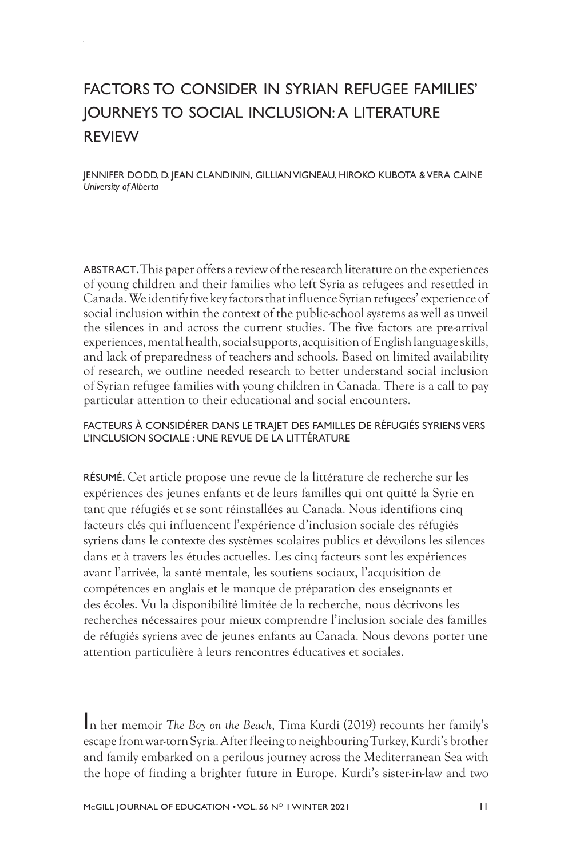# FACTORS TO CONSIDER IN SYRIAN REFUGEE FAMILIES' JOURNEYS TO SOCIAL INCLUSION: A LITERATURE REVIEW

JENNIFER DODD, D. JEAN CLANDININ, GILLIAN VIGNEAU, HIROKO KUBOTA & VERA CAINE *University of Alberta*

ABSTRACT. This paper offers a review of the research literature on the experiences of young children and their families who left Syria as refugees and resettled in Canada. We identify five key factors that influence Syrian refugees' experience of social inclusion within the context of the public-school systems as well as unveil the silences in and across the current studies. The five factors are pre-arrival experiences, mental health, social supports, acquisition of English language skills, and lack of preparedness of teachers and schools. Based on limited availability of research, we outline needed research to better understand social inclusion of Syrian refugee families with young children in Canada. There is a call to pay particular attention to their educational and social encounters.

#### FACTEURS À CONSIDÉRER DANS LE TRAJET DES FAMILLES DE RÉFUGIÉS SYRIENS VERS L'INCLUSION SOCIALE : UNE REVUE DE LA LITTÉRATURE

RÉSUMÉ. Cet article propose une revue de la littérature de recherche sur les expériences des jeunes enfants et de leurs familles qui ont quitté la Syrie en tant que réfugiés et se sont réinstallées au Canada. Nous identifions cinq facteurs clés qui influencent l'expérience d'inclusion sociale des réfugiés syriens dans le contexte des systèmes scolaires publics et dévoilons les silences dans et à travers les études actuelles. Les cinq facteurs sont les expériences avant l'arrivée, la santé mentale, les soutiens sociaux, l'acquisition de compétences en anglais et le manque de préparation des enseignants et des écoles. Vu la disponibilité limitée de la recherche, nous décrivons les recherches nécessaires pour mieux comprendre l'inclusion sociale des familles de réfugiés syriens avec de jeunes enfants au Canada. Nous devons porter une attention particulière à leurs rencontres éducatives et sociales.

In her memoir *The Boy on the Beach*, Tima Kurdi (2019) recounts her family's escape from war-torn Syria. After fleeing to neighbouring Turkey, Kurdi's brother and family embarked on a perilous journey across the Mediterranean Sea with the hope of finding a brighter future in Europe. Kurdi's sister-in-law and two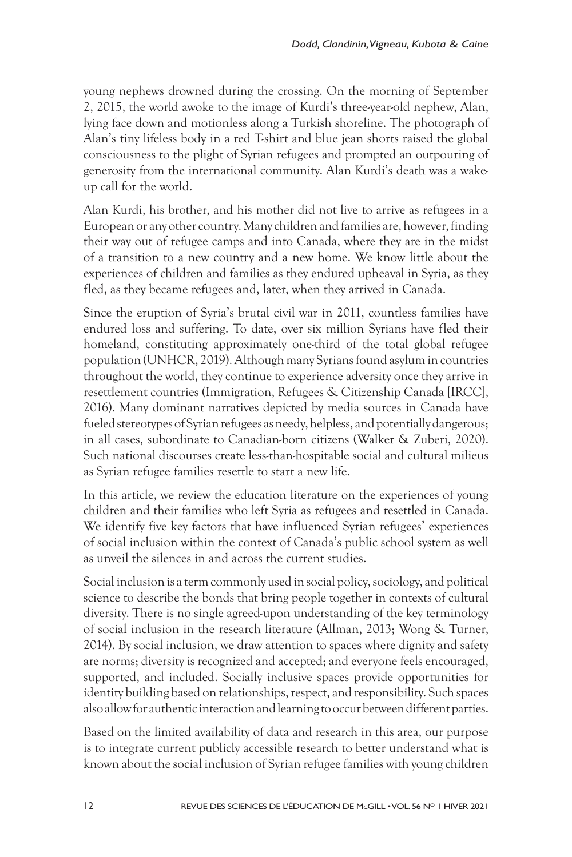young nephews drowned during the crossing. On the morning of September 2, 2015, the world awoke to the image of Kurdi's three-year-old nephew, Alan, lying face down and motionless along a Turkish shoreline. The photograph of Alan's tiny lifeless body in a red T-shirt and blue jean shorts raised the global consciousness to the plight of Syrian refugees and prompted an outpouring of generosity from the international community. Alan Kurdi's death was a wakeup call for the world.

Alan Kurdi, his brother, and his mother did not live to arrive as refugees in a European or any other country. Many children and families are, however, finding their way out of refugee camps and into Canada, where they are in the midst of a transition to a new country and a new home. We know little about the experiences of children and families as they endured upheaval in Syria, as they fled, as they became refugees and, later, when they arrived in Canada.

Since the eruption of Syria's brutal civil war in 2011, countless families have endured loss and suffering. To date, over six million Syrians have fled their homeland, constituting approximately one-third of the total global refugee population (UNHCR, 2019). Although many Syrians found asylum in countries throughout the world, they continue to experience adversity once they arrive in resettlement countries (Immigration, Refugees & Citizenship Canada [IRCC], 2016). Many dominant narratives depicted by media sources in Canada have fueled stereotypes of Syrian refugees as needy, helpless, and potentially dangerous; in all cases, subordinate to Canadian-born citizens (Walker & Zuberi, 2020). Such national discourses create less-than-hospitable social and cultural milieus as Syrian refugee families resettle to start a new life.

In this article, we review the education literature on the experiences of young children and their families who left Syria as refugees and resettled in Canada. We identify five key factors that have influenced Syrian refugees' experiences of social inclusion within the context of Canada's public school system as well as unveil the silences in and across the current studies.

Social inclusion is a term commonly used in social policy, sociology, and political science to describe the bonds that bring people together in contexts of cultural diversity. There is no single agreed-upon understanding of the key terminology of social inclusion in the research literature (Allman, 2013; Wong & Turner, 2014). By social inclusion, we draw attention to spaces where dignity and safety are norms; diversity is recognized and accepted; and everyone feels encouraged, supported, and included. Socially inclusive spaces provide opportunities for identity building based on relationships, respect, and responsibility. Such spaces also allow for authentic interaction and learning to occur between different parties.

Based on the limited availability of data and research in this area, our purpose is to integrate current publicly accessible research to better understand what is known about the social inclusion of Syrian refugee families with young children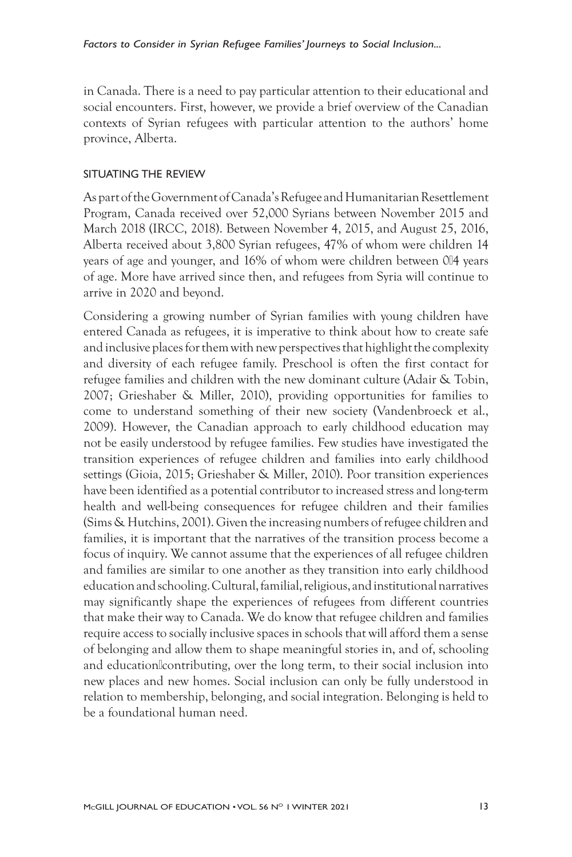in Canada. There is a need to pay particular attention to their educational and social encounters. First, however, we provide a brief overview of the Canadian contexts of Syrian refugees with particular attention to the authors' home province, Alberta.

#### SITUATING THE REVIEW

As part of the Government of Canada's Refugee and Humanitarian Resettlement Program, Canada received over 52,000 Syrians between November 2015 and March 2018 (IRCC, 2018). Between November 4, 2015, and August 25, 2016, Alberta received about 3,800 Syrian refugees, 47% of whom were children 14 years of age and younger, and 16% of whom were children between 0¤4 years of age. More have arrived since then, and refugees from Syria will continue to arrive in 2020 and beyond.

Considering a growing number of Syrian families with young children have entered Canada as refugees, it is imperative to think about how to create safe and inclusive places for them with new perspectives that highlight the complexity and diversity of each refugee family. Preschool is often the first contact for refugee families and children with the new dominant culture (Adair & Tobin, 2007; Grieshaber & Miller, 2010), providing opportunities for families to come to understand something of their new society (Vandenbroeck et al., 2009). However, the Canadian approach to early childhood education may not be easily understood by refugee families. Few studies have investigated the transition experiences of refugee children and families into early childhood settings (Gioia, 2015; Grieshaber & Miller, 2010). Poor transition experiences have been identified as a potential contributor to increased stress and long-term health and well-being consequences for refugee children and their families (Sims & Hutchins, 2001). Given the increasing numbers of refugee children and families, it is important that the narratives of the transition process become a focus of inquiry. We cannot assume that the experiences of all refugee children and families are similar to one another as they transition into early childhood education and schooling. Cultural, familial, religious, and institutional narratives may significantly shape the experiences of refugees from different countries that make their way to Canada. We do know that refugee children and families require access to socially inclusive spaces in schools that will afford them a sense of belonging and allow them to shape meaningful stories in, and of, schooling and educationlcontributing, over the long term, to their social inclusion into new places and new homes. Social inclusion can only be fully understood in relation to membership, belonging, and social integration. Belonging is held to be a foundational human need.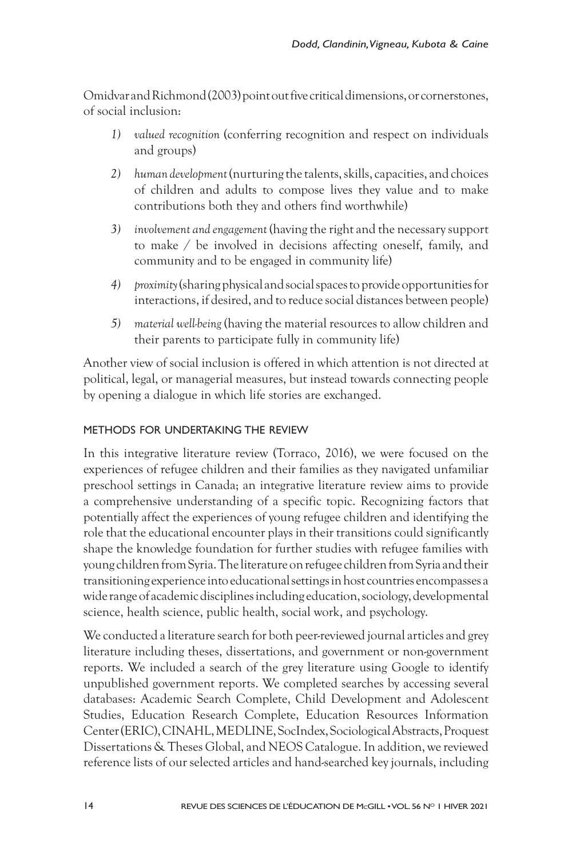Omidvar and Richmond (2003) point out five critical dimensions, or cornerstones, of social inclusion:

- *1) valued recognition* (conferring recognition and respect on individuals and groups)
- *2) human development* (nurturing the talents, skills, capacities, and choices of children and adults to compose lives they value and to make contributions both they and others find worthwhile)
- *3) involvement and engagement* (having the right and the necessary support to make / be involved in decisions affecting oneself, family, and community and to be engaged in community life)
- *4) proximity* (sharing physical and social spaces to provide opportunities for interactions, if desired, and to reduce social distances between people)
- *5) material well-being* (having the material resources to allow children and their parents to participate fully in community life)

Another view of social inclusion is offered in which attention is not directed at political, legal, or managerial measures, but instead towards connecting people by opening a dialogue in which life stories are exchanged.

#### METHODS FOR UNDERTAKING THE REVIEW

In this integrative literature review (Torraco, 2016), we were focused on the experiences of refugee children and their families as they navigated unfamiliar preschool settings in Canada; an integrative literature review aims to provide a comprehensive understanding of a specific topic. Recognizing factors that potentially affect the experiences of young refugee children and identifying the role that the educational encounter plays in their transitions could significantly shape the knowledge foundation for further studies with refugee families with young children from Syria. The literature on refugee children from Syria and their transitioning experience into educational settings in host countries encompasses a wide range of academic disciplines including education, sociology, developmental science, health science, public health, social work, and psychology.

We conducted a literature search for both peer-reviewed journal articles and grey literature including theses, dissertations, and government or non-government reports. We included a search of the grey literature using Google to identify unpublished government reports. We completed searches by accessing several databases: Academic Search Complete, Child Development and Adolescent Studies, Education Research Complete, Education Resources Information Center (ERIC), CINAHL, MEDLINE, SocIndex, Sociological Abstracts, Proquest Dissertations & Theses Global, and NEOS Catalogue. In addition, we reviewed reference lists of our selected articles and hand-searched key journals, including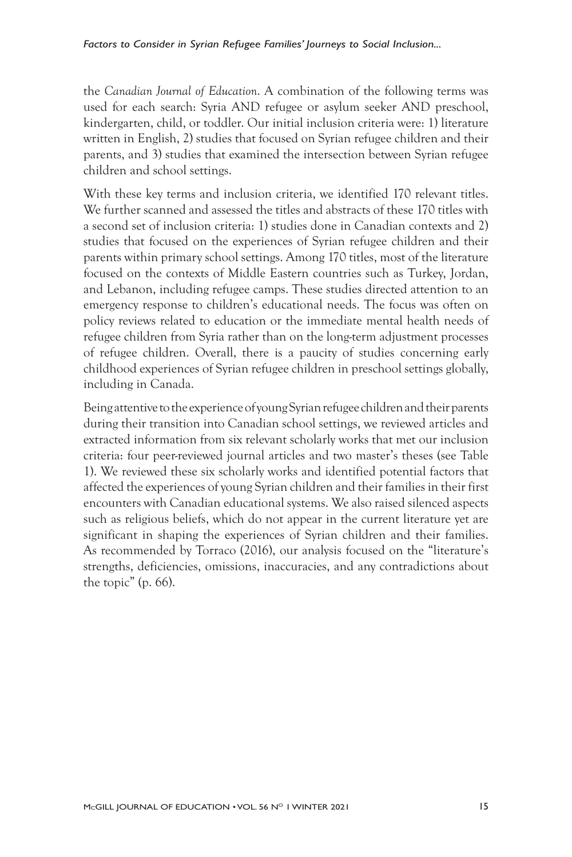the *Canadian Journal of Education*. A combination of the following terms was used for each search: Syria AND refugee or asylum seeker AND preschool, kindergarten, child, or toddler. Our initial inclusion criteria were: 1) literature written in English, 2) studies that focused on Syrian refugee children and their parents, and 3) studies that examined the intersection between Syrian refugee children and school settings.

With these key terms and inclusion criteria, we identified 170 relevant titles. We further scanned and assessed the titles and abstracts of these 170 titles with a second set of inclusion criteria: 1) studies done in Canadian contexts and 2) studies that focused on the experiences of Syrian refugee children and their parents within primary school settings. Among 170 titles, most of the literature focused on the contexts of Middle Eastern countries such as Turkey, Jordan, and Lebanon, including refugee camps. These studies directed attention to an emergency response to children's educational needs. The focus was often on policy reviews related to education or the immediate mental health needs of refugee children from Syria rather than on the long-term adjustment processes of refugee children. Overall, there is a paucity of studies concerning early childhood experiences of Syrian refugee children in preschool settings globally, including in Canada.

Being attentive to the experience of young Syrian refugee children and their parents during their transition into Canadian school settings, we reviewed articles and extracted information from six relevant scholarly works that met our inclusion criteria: four peer-reviewed journal articles and two master's theses (see Table 1). We reviewed these six scholarly works and identified potential factors that affected the experiences of young Syrian children and their families in their first encounters with Canadian educational systems. We also raised silenced aspects such as religious beliefs, which do not appear in the current literature yet are significant in shaping the experiences of Syrian children and their families. As recommended by Torraco (2016), our analysis focused on the "literature's strengths, deficiencies, omissions, inaccuracies, and any contradictions about the topic" (p. 66).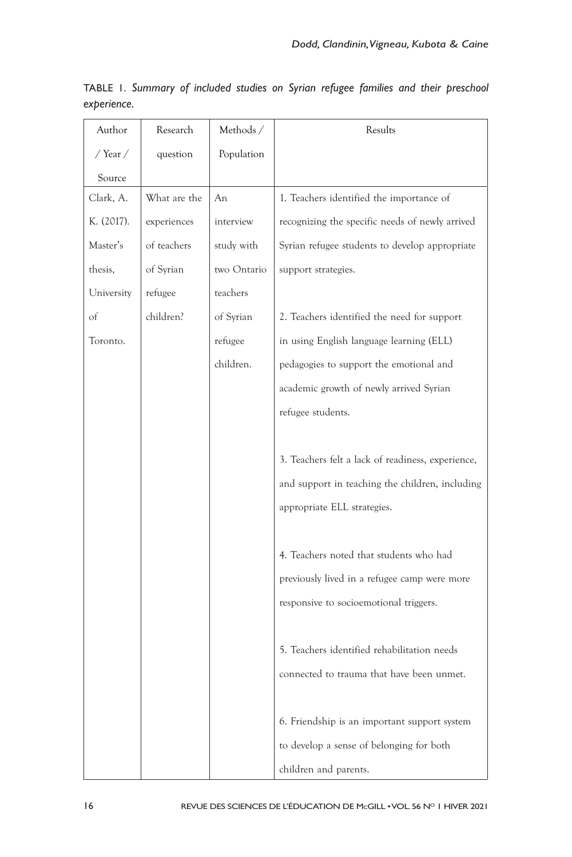| Author     | Research     | Methods/    | Results                                           |
|------------|--------------|-------------|---------------------------------------------------|
| / Year /   | question     | Population  |                                                   |
| Source     |              |             |                                                   |
| Clark, A.  | What are the | An          | 1. Teachers identified the importance of          |
| K. (2017). | experiences  | interview   | recognizing the specific needs of newly arrived   |
| Master's   | of teachers  | study with  | Syrian refugee students to develop appropriate    |
| thesis,    | of Syrian    | two Ontario | support strategies.                               |
| University | refugee      | teachers    |                                                   |
| of         | children?    | of Syrian   | 2. Teachers identified the need for support       |
| Toronto.   |              | refugee     | in using English language learning (ELL)          |
|            |              | children.   | pedagogies to support the emotional and           |
|            |              |             | academic growth of newly arrived Syrian           |
|            |              |             | refugee students.                                 |
|            |              |             |                                                   |
|            |              |             | 3. Teachers felt a lack of readiness, experience, |
|            |              |             | and support in teaching the children, including   |
|            |              |             | appropriate ELL strategies.                       |
|            |              |             |                                                   |
|            |              |             | 4. Teachers noted that students who had           |
|            |              |             | previously lived in a refugee camp were more      |
|            |              |             | responsive to socioemotional triggers.            |
|            |              |             |                                                   |
|            |              |             | 5. Teachers identified rehabilitation needs       |
|            |              |             | connected to trauma that have been unmet.         |
|            |              |             |                                                   |
|            |              |             | 6. Friendship is an important support system      |
|            |              |             | to develop a sense of belonging for both          |
|            |              |             | children and parents.                             |

TABLE 1. *Summary of included studies on Syrian refugee families and their preschool experience.*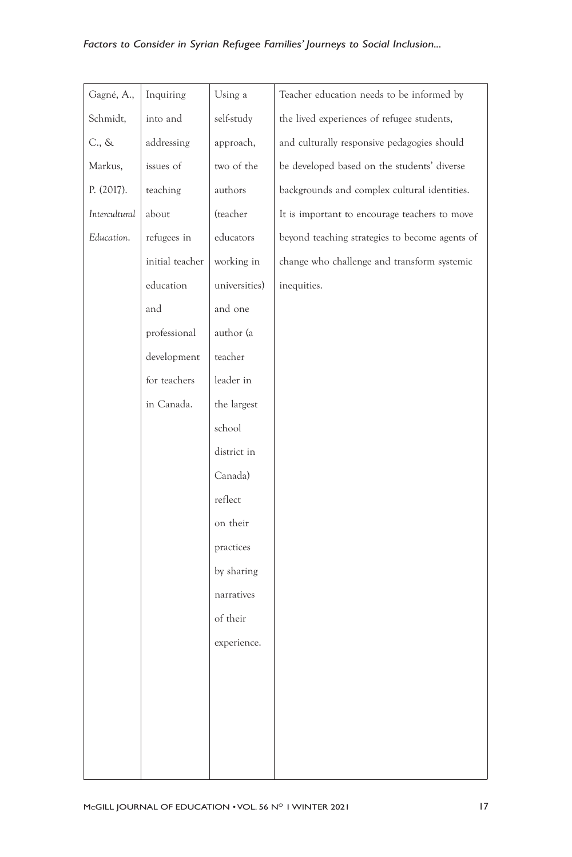## *Factors to Consider in Syrian Refugee Families' Journeys to Social Inclusion...*

| Gagné, A.,      | Inquiring       | Using a       | Teacher education needs to be informed by      |
|-----------------|-----------------|---------------|------------------------------------------------|
| Schmidt,        | into and        | self-study    | the lived experiences of refugee students,     |
| $C_{\cdot}$ , & | addressing      | approach,     | and culturally responsive pedagogies should    |
| Markus,         | issues of       | two of the    | be developed based on the students' diverse    |
| P. (2017).      | teaching        | authors       | backgrounds and complex cultural identities.   |
| Intercultural   | about           | (teacher      | It is important to encourage teachers to move  |
| Education.      | refugees in     | educators     | beyond teaching strategies to become agents of |
|                 | initial teacher | working in    | change who challenge and transform systemic    |
|                 | education       | universities) | inequities.                                    |
|                 | and             | and one       |                                                |
|                 | professional    | author (a     |                                                |
|                 | development     | teacher       |                                                |
|                 | for teachers    | leader in     |                                                |
|                 | in Canada.      | the largest   |                                                |
|                 |                 | school        |                                                |
|                 |                 | district in   |                                                |
|                 |                 | Canada)       |                                                |
|                 |                 | reflect       |                                                |
|                 |                 | on their      |                                                |
|                 |                 | practices     |                                                |
|                 |                 | by sharing    |                                                |
|                 |                 | narratives    |                                                |
|                 |                 | of their      |                                                |
|                 |                 | experience.   |                                                |
|                 |                 |               |                                                |
|                 |                 |               |                                                |
|                 |                 |               |                                                |
|                 |                 |               |                                                |
|                 |                 |               |                                                |
|                 |                 |               |                                                |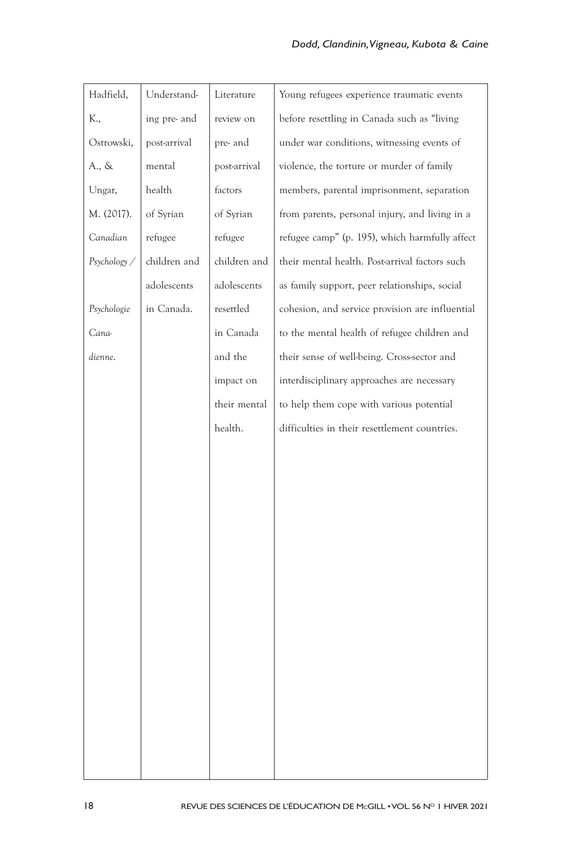| Hadfield,    | Understand-  | Literature   | Young refugees experience traumatic events      |
|--------------|--------------|--------------|-------------------------------------------------|
| K.,          | ing pre- and | review on    | before resettling in Canada such as "living     |
| Ostrowski,   | post-arrival | pre- and     | under war conditions, witnessing events of      |
| A., &        | mental       | post-arrival | violence, the torture or murder of family       |
| Ungar,       | health       | factors      | members, parental imprisonment, separation      |
| M. (2017).   | of Syrian    | of Syrian    | from parents, personal injury, and living in a  |
| Canadian     | refugee      | refugee      | refugee camp" (p. 195), which harmfully affect  |
| Psychology / | children and | children and | their mental health. Post-arrival factors such  |
|              | adolescents  | adolescents  | as family support, peer relationships, social   |
| Psychologie  | in Canada.   | resettled    | cohesion, and service provision are influential |
| Cana-        |              | in Canada    | to the mental health of refugee children and    |
| dienne.      |              | and the      | their sense of well-being. Cross-sector and     |
|              |              | impact on    | interdisciplinary approaches are necessary      |
|              |              | their mental | to help them cope with various potential        |
|              |              | health.      | difficulties in their resettlement countries.   |
|              |              |              |                                                 |
|              |              |              |                                                 |
|              |              |              |                                                 |
|              |              |              |                                                 |
|              |              |              |                                                 |
|              |              |              |                                                 |
|              |              |              |                                                 |
|              |              |              |                                                 |
|              |              |              |                                                 |
|              |              |              |                                                 |
|              |              |              |                                                 |
|              |              |              |                                                 |
|              |              |              |                                                 |
|              |              |              |                                                 |
|              |              |              |                                                 |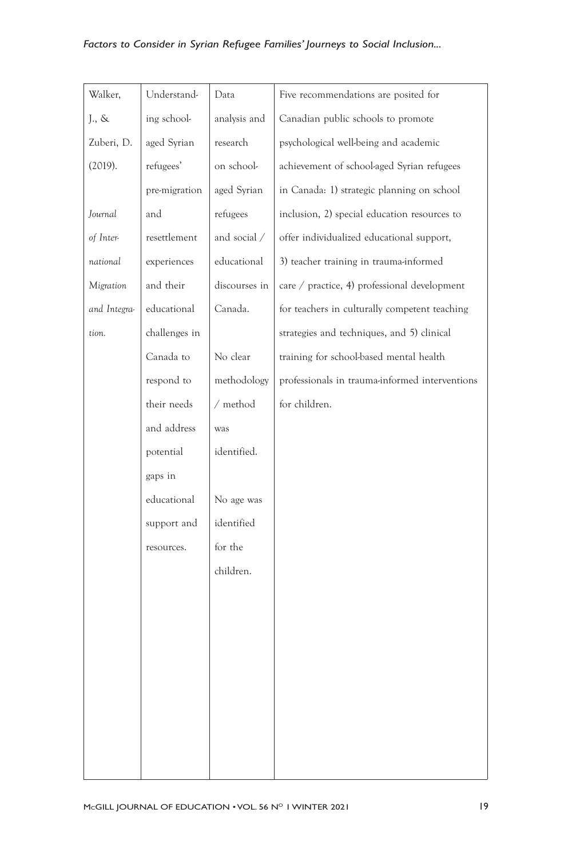## *Factors to Consider in Syrian Refugee Families' Journeys to Social Inclusion...*

| Walker,      | Understand-   | Data          | Five recommendations are posited for           |
|--------------|---------------|---------------|------------------------------------------------|
| J., &        | ing school-   | analysis and  | Canadian public schools to promote             |
| Zuberi, D.   | aged Syrian   | research      | psychological well-being and academic          |
| (2019).      | refugees'     | on school-    | achievement of school-aged Syrian refugees     |
|              | pre-migration | aged Syrian   | in Canada: 1) strategic planning on school     |
| Journal      | and           | refugees      | inclusion, 2) special education resources to   |
| of Inter-    | resettlement  | and social /  | offer individualized educational support,      |
| national     | experiences   | educational   | 3) teacher training in trauma-informed         |
| Migration    | and their     | discourses in | care / practice, 4) professional development   |
| and Integra- | educational   | Canada.       | for teachers in culturally competent teaching  |
| tion.        | challenges in |               | strategies and techniques, and 5) clinical     |
|              | Canada to     | No clear      | training for school-based mental health        |
|              | respond to    | methodology   | professionals in trauma-informed interventions |
|              | their needs   | $/$ method    | for children.                                  |
|              | and address   | was           |                                                |
|              | potential     | identified.   |                                                |
|              | gaps in       |               |                                                |
|              | educational   | No age was    |                                                |
|              | support and   | identified    |                                                |
|              | resources.    | for the       |                                                |
|              |               | children.     |                                                |
|              |               |               |                                                |
|              |               |               |                                                |
|              |               |               |                                                |
|              |               |               |                                                |
|              |               |               |                                                |
|              |               |               |                                                |
|              |               |               |                                                |
|              |               |               |                                                |
|              |               |               |                                                |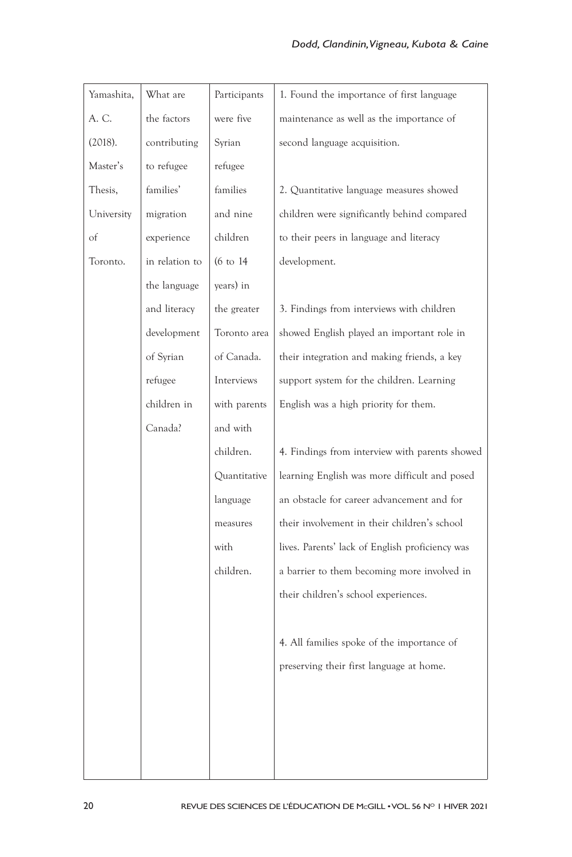| Yamashita, | What are       | Participants         | 1. Found the importance of first language       |
|------------|----------------|----------------------|-------------------------------------------------|
| A. C.      | the factors    | were five            | maintenance as well as the importance of        |
| (2018).    | contributing   | Syrian               | second language acquisition.                    |
| Master's   | to refugee     | refugee              |                                                 |
| Thesis,    | families'      | families             | 2. Quantitative language measures showed        |
| University | migration      | and nine             | children were significantly behind compared     |
| of         | experience     | children             | to their peers in language and literacy         |
| Toronto.   | in relation to | $(6 \text{ to } 14)$ | development.                                    |
|            | the language   | years) in            |                                                 |
|            | and literacy   | the greater          | 3. Findings from interviews with children       |
|            | development    | Toronto area         | showed English played an important role in      |
|            | of Syrian      | of Canada.           | their integration and making friends, a key     |
|            | refugee        | Interviews           | support system for the children. Learning       |
|            | children in    | with parents         | English was a high priority for them.           |
|            | Canada?        | and with             |                                                 |
|            |                | children.            | 4. Findings from interview with parents showed  |
|            |                | Quantitative         | learning English was more difficult and posed   |
|            |                | language             | an obstacle for career advancement and for      |
|            |                | measures             | their involvement in their children's school    |
|            |                | with                 | lives. Parents' lack of English proficiency was |
|            |                | children.            | a barrier to them becoming more involved in     |
|            |                |                      | their children's school experiences.            |
|            |                |                      |                                                 |
|            |                |                      | 4. All families spoke of the importance of      |
|            |                |                      | preserving their first language at home.        |
|            |                |                      |                                                 |
|            |                |                      |                                                 |
|            |                |                      |                                                 |
|            |                |                      |                                                 |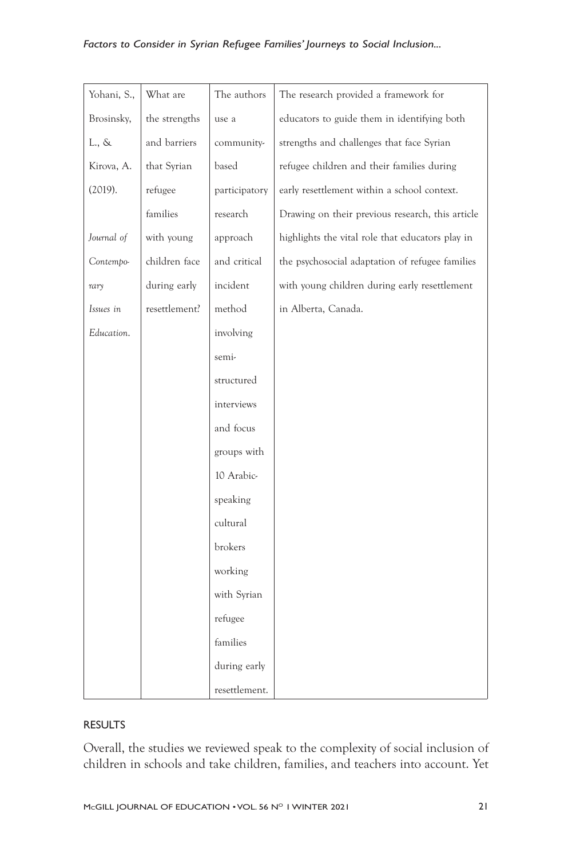### *Factors to Consider in Syrian Refugee Families' Journeys to Social Inclusion...*

| Yohani, S., | What are      | The authors   | The research provided a framework for            |
|-------------|---------------|---------------|--------------------------------------------------|
| Brosinsky,  | the strengths | use a         | educators to guide them in identifying both      |
| L., &       | and barriers  | community-    | strengths and challenges that face Syrian        |
| Kirova, A.  | that Syrian   | based         | refugee children and their families during       |
| (2019).     | refugee       | participatory | early resettlement within a school context.      |
|             | families      | research      | Drawing on their previous research, this article |
| Journal of  | with young    | approach      | highlights the vital role that educators play in |
| Contempo-   | children face | and critical  | the psychosocial adaptation of refugee families  |
| rary        | during early  | incident      | with young children during early resettlement    |
| Issues in   | resettlement? | method        | in Alberta, Canada.                              |
| Education.  |               | involving     |                                                  |
|             |               | semi-         |                                                  |
|             |               | structured    |                                                  |
|             |               | interviews    |                                                  |
|             |               | and focus     |                                                  |
|             |               | groups with   |                                                  |
|             |               | 10 Arabic-    |                                                  |
|             |               | speaking      |                                                  |
|             |               | cultural      |                                                  |
|             |               | brokers       |                                                  |
|             |               | working       |                                                  |
|             |               | with Syrian   |                                                  |
|             |               | refugee       |                                                  |
|             |               | families      |                                                  |
|             |               | during early  |                                                  |
|             |               | resettlement. |                                                  |

#### RESULTS

Overall, the studies we reviewed speak to the complexity of social inclusion of children in schools and take children, families, and teachers into account. Yet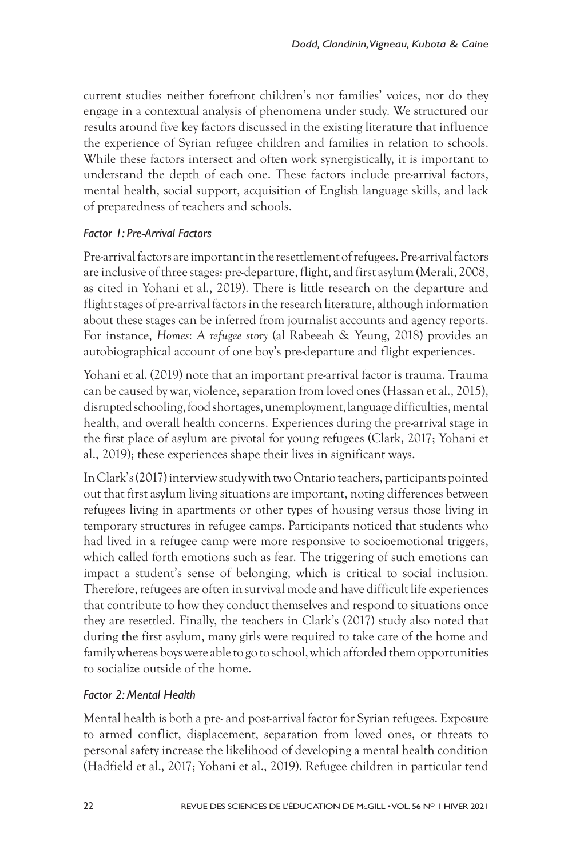current studies neither forefront children's nor families' voices, nor do they engage in a contextual analysis of phenomena under study. We structured our results around five key factors discussed in the existing literature that influence the experience of Syrian refugee children and families in relation to schools. While these factors intersect and often work synergistically, it is important to understand the depth of each one. These factors include pre-arrival factors, mental health, social support, acquisition of English language skills, and lack of preparedness of teachers and schools.

## *Factor 1: Pre-Arrival Factors*

Pre-arrival factors are important in the resettlement of refugees. Pre-arrival factors are inclusive of three stages: pre-departure, flight, and first asylum (Merali, 2008, as cited in Yohani et al., 2019). There is little research on the departure and flight stages of pre-arrival factors in the research literature, although information about these stages can be inferred from journalist accounts and agency reports. For instance, *Homes: A refugee story* (al Rabeeah & Yeung, 2018) provides an autobiographical account of one boy's pre-departure and flight experiences.

Yohani et al. (2019) note that an important pre-arrival factor is trauma. Trauma can be caused by war, violence, separation from loved ones (Hassan et al., 2015), disrupted schooling, food shortages, unemployment, language difficulties, mental health, and overall health concerns. Experiences during the pre-arrival stage in the first place of asylum are pivotal for young refugees (Clark, 2017; Yohani et al., 2019); these experiences shape their lives in significant ways.

In Clark's (2017) interview study with two Ontario teachers, participants pointed out that first asylum living situations are important, noting differences between refugees living in apartments or other types of housing versus those living in temporary structures in refugee camps. Participants noticed that students who had lived in a refugee camp were more responsive to socioemotional triggers, which called forth emotions such as fear. The triggering of such emotions can impact a student's sense of belonging, which is critical to social inclusion. Therefore, refugees are often in survival mode and have difficult life experiences that contribute to how they conduct themselves and respond to situations once they are resettled. Finally, the teachers in Clark's (2017) study also noted that during the first asylum, many girls were required to take care of the home and family whereas boys were able to go to school, which afforded them opportunities to socialize outside of the home.

#### *Factor 2: Mental Health*

Mental health is both a pre- and post-arrival factor for Syrian refugees. Exposure to armed conflict, displacement, separation from loved ones, or threats to personal safety increase the likelihood of developing a mental health condition (Hadfield et al., 2017; Yohani et al., 2019). Refugee children in particular tend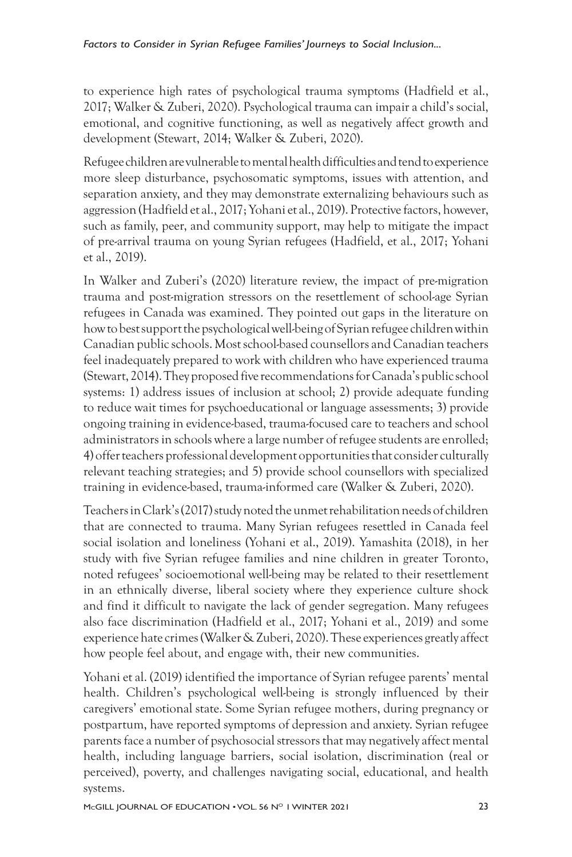to experience high rates of psychological trauma symptoms (Hadfield et al., 2017; Walker & Zuberi, 2020). Psychological trauma can impair a child's social, emotional, and cognitive functioning, as well as negatively affect growth and development (Stewart, 2014; Walker & Zuberi, 2020).

Refugee children are vulnerable to mental health difficulties and tend to experience more sleep disturbance, psychosomatic symptoms, issues with attention, and separation anxiety, and they may demonstrate externalizing behaviours such as aggression (Hadfield et al., 2017; Yohani et al., 2019). Protective factors, however, such as family, peer, and community support, may help to mitigate the impact of pre-arrival trauma on young Syrian refugees (Hadfield, et al., 2017; Yohani et al., 2019).

In Walker and Zuberi's (2020) literature review, the impact of pre-migration trauma and post-migration stressors on the resettlement of school-age Syrian refugees in Canada was examined. They pointed out gaps in the literature on how to best support the psychological well-being of Syrian refugee children within Canadian public schools. Most school-based counsellors and Canadian teachers feel inadequately prepared to work with children who have experienced trauma (Stewart, 2014). They proposed five recommendations for Canada's public school systems: 1) address issues of inclusion at school; 2) provide adequate funding to reduce wait times for psychoeducational or language assessments; 3) provide ongoing training in evidence-based, trauma-focused care to teachers and school administrators in schools where a large number of refugee students are enrolled; 4) offer teachers professional development opportunities that consider culturally relevant teaching strategies; and 5) provide school counsellors with specialized training in evidence-based, trauma-informed care (Walker & Zuberi, 2020).

Teachers in Clark's (2017) study noted the unmet rehabilitation needs of children that are connected to trauma. Many Syrian refugees resettled in Canada feel social isolation and loneliness (Yohani et al., 2019). Yamashita (2018), in her study with five Syrian refugee families and nine children in greater Toronto, noted refugees' socioemotional well-being may be related to their resettlement in an ethnically diverse, liberal society where they experience culture shock and find it difficult to navigate the lack of gender segregation. Many refugees also face discrimination (Hadfield et al., 2017; Yohani et al., 2019) and some experience hate crimes (Walker& Zuberi, 2020). These experiences greatly affect how people feel about, and engage with, their new communities.

Yohani et al. (2019) identified the importance of Syrian refugee parents' mental health. Children's psychological well-being is strongly influenced by their caregivers' emotional state. Some Syrian refugee mothers, during pregnancy or postpartum, have reported symptoms of depression and anxiety. Syrian refugee parents face a number of psychosocial stressors that may negatively affect mental health, including language barriers, social isolation, discrimination (real or perceived), poverty, and challenges navigating social, educational, and health systems.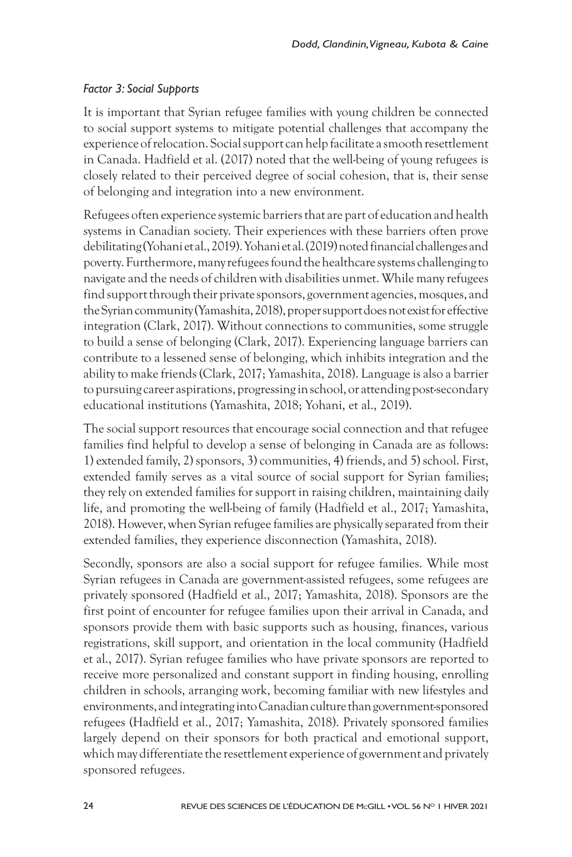#### *Factor 3: Social Supports*

It is important that Syrian refugee families with young children be connected to social support systems to mitigate potential challenges that accompany the experience of relocation. Social support can help facilitate a smooth resettlement in Canada. Hadfield et al. (2017) noted that the well-being of young refugees is closely related to their perceived degree of social cohesion, that is, their sense of belonging and integration into a new environment.

Refugees often experience systemic barriers that are part of education and health systems in Canadian society. Their experiences with these barriers often prove debilitating (Yohani et al., 2019). Yohani et al. (2019) noted financial challenges and poverty. Furthermore, many refugees found the healthcare systems challenging to navigate and the needs of children with disabilities unmet. While many refugees find support through their private sponsors, government agencies, mosques, and the Syrian community (Yamashita, 2018), proper support does not exist for effective integration (Clark, 2017). Without connections to communities, some struggle to build a sense of belonging (Clark, 2017). Experiencing language barriers can contribute to a lessened sense of belonging, which inhibits integration and the ability to make friends (Clark, 2017; Yamashita, 2018). Language is also a barrier to pursuing career aspirations, progressing in school, or attending post-secondary educational institutions (Yamashita, 2018; Yohani, et al., 2019).

The social support resources that encourage social connection and that refugee families find helpful to develop a sense of belonging in Canada are as follows: 1) extended family, 2) sponsors, 3) communities, 4) friends, and 5) school. First, extended family serves as a vital source of social support for Syrian families; they rely on extended families for support in raising children, maintaining daily life, and promoting the well-being of family (Hadfield et al., 2017; Yamashita, 2018). However, when Syrian refugee families are physically separated from their extended families, they experience disconnection (Yamashita, 2018).

Secondly, sponsors are also a social support for refugee families. While most Syrian refugees in Canada are government-assisted refugees, some refugees are privately sponsored (Hadfield et al., 2017; Yamashita, 2018). Sponsors are the first point of encounter for refugee families upon their arrival in Canada, and sponsors provide them with basic supports such as housing, finances, various registrations, skill support, and orientation in the local community (Hadfield et al., 2017). Syrian refugee families who have private sponsors are reported to receive more personalized and constant support in finding housing, enrolling children in schools, arranging work, becoming familiar with new lifestyles and environments, and integrating into Canadian culture than government-sponsored refugees (Hadfield et al., 2017; Yamashita, 2018). Privately sponsored families largely depend on their sponsors for both practical and emotional support, which may differentiate the resettlement experience of government and privately sponsored refugees.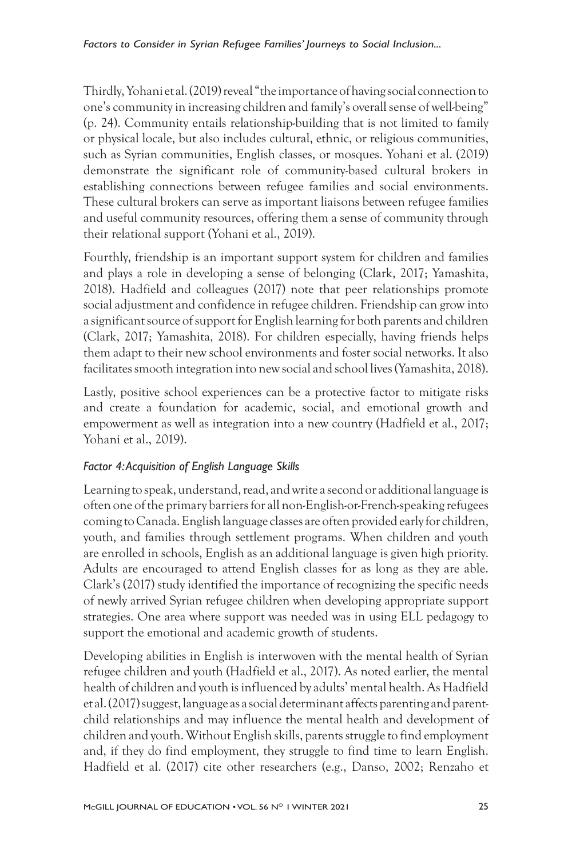Thirdly, Yohani et al. (2019) reveal "the importance of having social connection to one's community in increasing children and family's overall sense of well-being" (p. 24). Community entails relationship-building that is not limited to family or physical locale, but also includes cultural, ethnic, or religious communities, such as Syrian communities, English classes, or mosques. Yohani et al. (2019) demonstrate the significant role of community-based cultural brokers in establishing connections between refugee families and social environments. These cultural brokers can serve as important liaisons between refugee families and useful community resources, offering them a sense of community through their relational support (Yohani et al., 2019).

Fourthly, friendship is an important support system for children and families and plays a role in developing a sense of belonging (Clark, 2017; Yamashita, 2018). Hadfield and colleagues (2017) note that peer relationships promote social adjustment and confidence in refugee children. Friendship can grow into a significant source of support for English learning for both parents and children (Clark, 2017; Yamashita, 2018). For children especially, having friends helps them adapt to their new school environments and foster social networks. It also facilitates smooth integration into new social and school lives (Yamashita, 2018).

Lastly, positive school experiences can be a protective factor to mitigate risks and create a foundation for academic, social, and emotional growth and empowerment as well as integration into a new country (Hadfield et al., 2017; Yohani et al., 2019).

## *Factor 4: Acquisition of English Language Skills*

Learning to speak, understand, read, and write a second or additional language is often one of the primary barriers for all non-English-or-French-speaking refugees coming to Canada. English language classes are often provided early for children, youth, and families through settlement programs. When children and youth are enrolled in schools, English as an additional language is given high priority. Adults are encouraged to attend English classes for as long as they are able. Clark's (2017) study identified the importance of recognizing the specific needs of newly arrived Syrian refugee children when developing appropriate support strategies. One area where support was needed was in using ELL pedagogy to support the emotional and academic growth of students.

Developing abilities in English is interwoven with the mental health of Syrian refugee children and youth (Hadfield et al., 2017). As noted earlier, the mental health of children and youth is influenced by adults' mental health. As Hadfield et al. (2017) suggest, language as a social determinant affects parenting and parentchild relationships and may influence the mental health and development of children and youth. Without English skills, parents struggle to find employment and, if they do find employment, they struggle to find time to learn English. Hadfield et al. (2017) cite other researchers (e.g., Danso, 2002; Renzaho et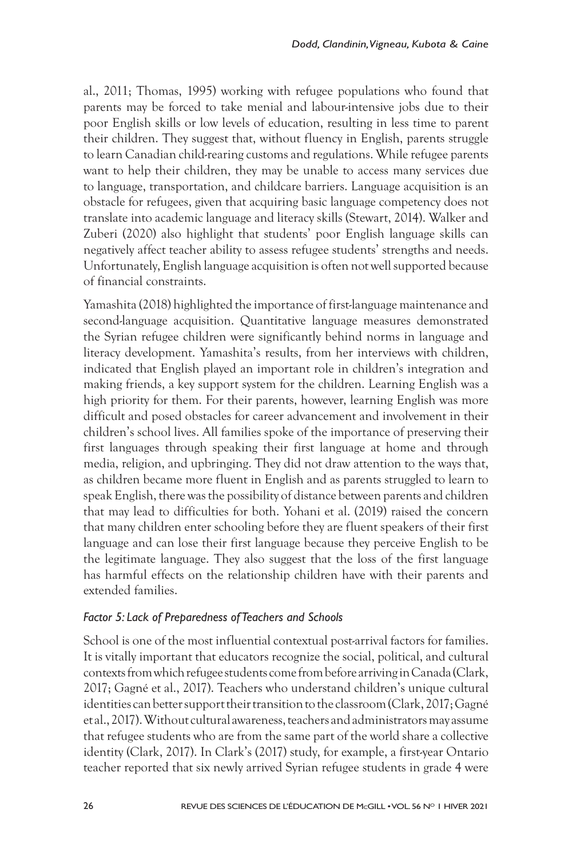al., 2011; Thomas, 1995) working with refugee populations who found that parents may be forced to take menial and labour-intensive jobs due to their poor English skills or low levels of education, resulting in less time to parent their children. They suggest that, without fluency in English, parents struggle to learn Canadian child-rearing customs and regulations. While refugee parents want to help their children, they may be unable to access many services due to language, transportation, and childcare barriers. Language acquisition is an obstacle for refugees, given that acquiring basic language competency does not translate into academic language and literacy skills (Stewart, 2014). Walker and Zuberi (2020) also highlight that students' poor English language skills can negatively affect teacher ability to assess refugee students' strengths and needs. Unfortunately, English language acquisition is often not well supported because of financial constraints.

Yamashita (2018) highlighted the importance of first-language maintenance and second-language acquisition. Quantitative language measures demonstrated the Syrian refugee children were significantly behind norms in language and literacy development. Yamashita's results, from her interviews with children, indicated that English played an important role in children's integration and making friends, a key support system for the children. Learning English was a high priority for them. For their parents, however, learning English was more difficult and posed obstacles for career advancement and involvement in their children's school lives. All families spoke of the importance of preserving their first languages through speaking their first language at home and through media, religion, and upbringing. They did not draw attention to the ways that, as children became more fluent in English and as parents struggled to learn to speak English, there was the possibility of distance between parents and children that may lead to difficulties for both. Yohani et al. (2019) raised the concern that many children enter schooling before they are fluent speakers of their first language and can lose their first language because they perceive English to be the legitimate language. They also suggest that the loss of the first language has harmful effects on the relationship children have with their parents and extended families.

#### *Factor 5: Lack of Preparedness of Teachers and Schools*

School is one of the most influential contextual post-arrival factors for families. It is vitally important that educators recognize the social, political, and cultural contexts from which refugee students come from before arriving in Canada (Clark, 2017; Gagné et al., 2017). Teachers who understand children's unique cultural identities can better support their transition to the classroom (Clark, 2017; Gagné et al., 2017). Without cultural awareness, teachers and administrators may assume that refugee students who are from the same part of the world share a collective identity (Clark, 2017). In Clark's (2017) study, for example, a first-year Ontario teacher reported that six newly arrived Syrian refugee students in grade 4 were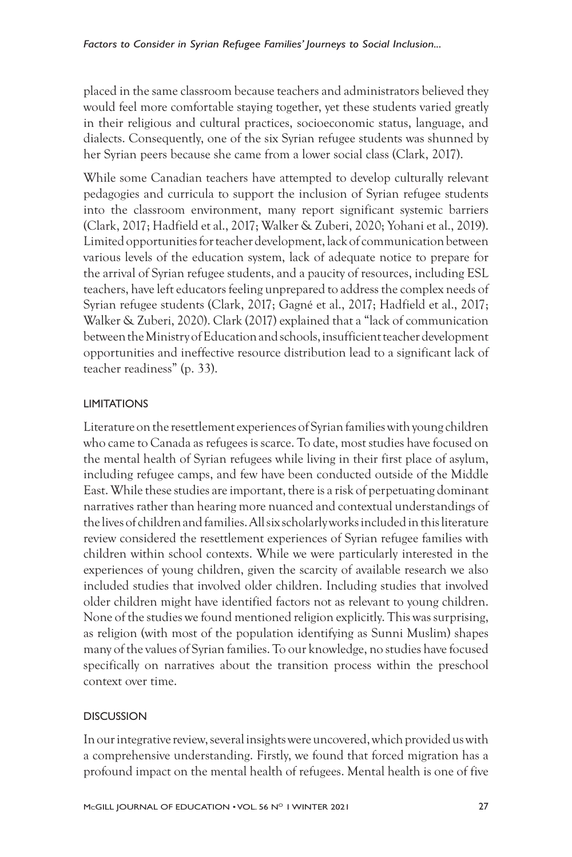placed in the same classroom because teachers and administrators believed they would feel more comfortable staying together, yet these students varied greatly in their religious and cultural practices, socioeconomic status, language, and dialects. Consequently, one of the six Syrian refugee students was shunned by her Syrian peers because she came from a lower social class (Clark, 2017).

While some Canadian teachers have attempted to develop culturally relevant pedagogies and curricula to support the inclusion of Syrian refugee students into the classroom environment, many report significant systemic barriers (Clark, 2017; Hadfield et al., 2017; Walker & Zuberi, 2020; Yohani et al., 2019). Limited opportunities for teacher development, lack of communication between various levels of the education system, lack of adequate notice to prepare for the arrival of Syrian refugee students, and a paucity of resources, including ESL teachers, have left educators feeling unprepared to address the complex needs of Syrian refugee students (Clark, 2017; Gagné et al., 2017; Hadfield et al., 2017; Walker & Zuberi, 2020). Clark (2017) explained that a "lack of communication between the Ministry of Education and schools, insufficient teacher development opportunities and ineffective resource distribution lead to a significant lack of teacher readiness" (p. 33).

#### LIMITATIONS

Literature on the resettlement experiences of Syrian families with young children who came to Canada as refugees is scarce. To date, most studies have focused on the mental health of Syrian refugees while living in their first place of asylum, including refugee camps, and few have been conducted outside of the Middle East. While these studies are important, there is a risk of perpetuating dominant narratives rather than hearing more nuanced and contextual understandings of the lives of children and families. All six scholarly works included in this literature review considered the resettlement experiences of Syrian refugee families with children within school contexts. While we were particularly interested in the experiences of young children, given the scarcity of available research we also included studies that involved older children. Including studies that involved older children might have identified factors not as relevant to young children. None of the studies we found mentioned religion explicitly. This was surprising, as religion (with most of the population identifying as Sunni Muslim) shapes many of the values of Syrian families. To our knowledge, no studies have focused specifically on narratives about the transition process within the preschool context over time.

#### **DISCUSSION**

In our integrative review, several insights were uncovered, which provided us with a comprehensive understanding. Firstly, we found that forced migration has a profound impact on the mental health of refugees. Mental health is one of five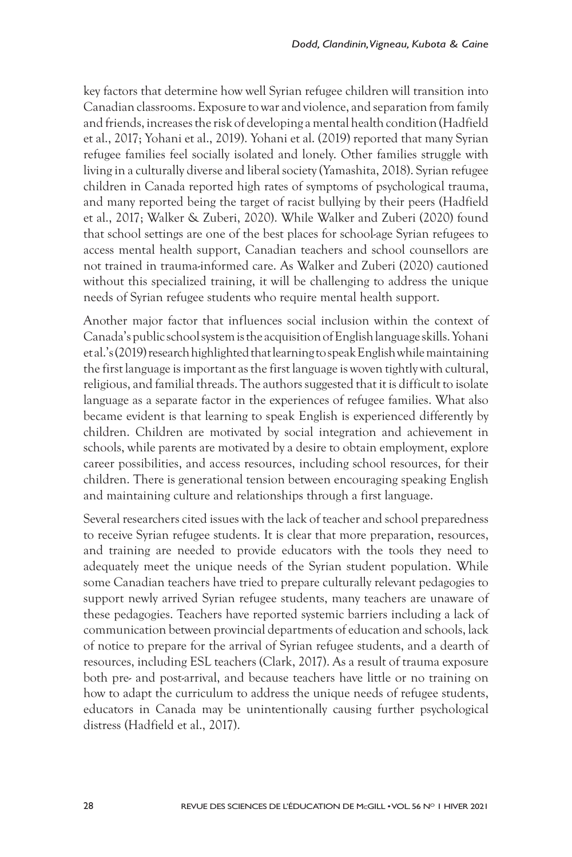key factors that determine how well Syrian refugee children will transition into Canadian classrooms. Exposure to war and violence, and separation from family and friends, increases the risk of developing a mental health condition (Hadfield et al., 2017; Yohani et al., 2019). Yohani et al. (2019) reported that many Syrian refugee families feel socially isolated and lonely. Other families struggle with living in a culturally diverse and liberal society (Yamashita, 2018). Syrian refugee children in Canada reported high rates of symptoms of psychological trauma, and many reported being the target of racist bullying by their peers (Hadfield et al., 2017; Walker & Zuberi, 2020). While Walker and Zuberi (2020) found that school settings are one of the best places for school-age Syrian refugees to access mental health support, Canadian teachers and school counsellors are not trained in trauma-informed care. As Walker and Zuberi (2020) cautioned without this specialized training, it will be challenging to address the unique needs of Syrian refugee students who require mental health support.

Another major factor that influences social inclusion within the context of Canada's public school system is the acquisition of English language skills. Yohani et al.'s (2019) research highlighted that learning to speak English while maintaining the first language is important as the first language is woven tightly with cultural, religious, and familial threads. The authors suggested that it is difficult to isolate language as a separate factor in the experiences of refugee families. What also became evident is that learning to speak English is experienced differently by children. Children are motivated by social integration and achievement in schools, while parents are motivated by a desire to obtain employment, explore career possibilities, and access resources, including school resources, for their children. There is generational tension between encouraging speaking English and maintaining culture and relationships through a first language.

Several researchers cited issues with the lack of teacher and school preparedness to receive Syrian refugee students. It is clear that more preparation, resources, and training are needed to provide educators with the tools they need to adequately meet the unique needs of the Syrian student population. While some Canadian teachers have tried to prepare culturally relevant pedagogies to support newly arrived Syrian refugee students, many teachers are unaware of these pedagogies. Teachers have reported systemic barriers including a lack of communication between provincial departments of education and schools, lack of notice to prepare for the arrival of Syrian refugee students, and a dearth of resources, including ESL teachers (Clark, 2017). As a result of trauma exposure both pre- and post-arrival, and because teachers have little or no training on how to adapt the curriculum to address the unique needs of refugee students, educators in Canada may be unintentionally causing further psychological distress (Hadfield et al., 2017).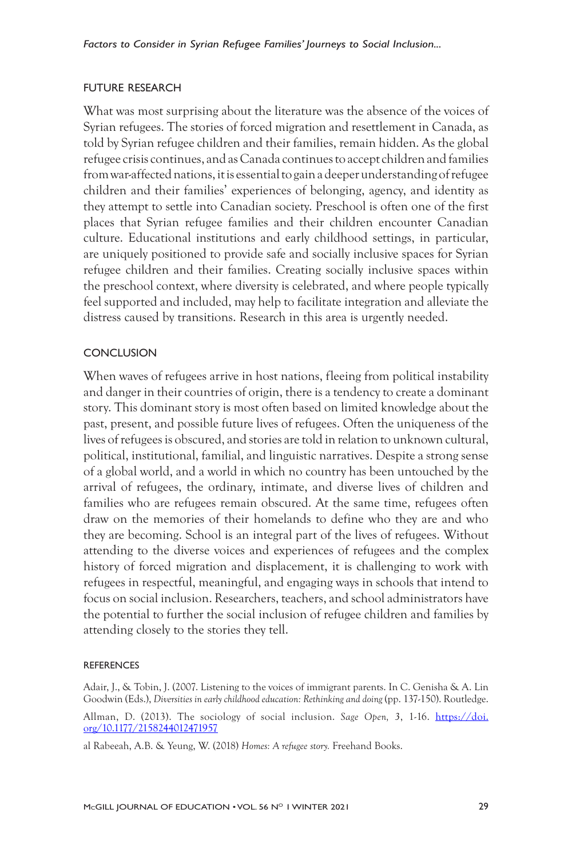#### FUTURE RESEARCH

What was most surprising about the literature was the absence of the voices of Syrian refugees. The stories of forced migration and resettlement in Canada, as told by Syrian refugee children and their families, remain hidden. As the global refugee crisis continues, and as Canada continues to accept children and families from war-affected nations, it is essential to gain a deeper understanding of refugee children and their families' experiences of belonging, agency, and identity as they attempt to settle into Canadian society. Preschool is often one of the first places that Syrian refugee families and their children encounter Canadian culture. Educational institutions and early childhood settings, in particular, are uniquely positioned to provide safe and socially inclusive spaces for Syrian refugee children and their families. Creating socially inclusive spaces within the preschool context, where diversity is celebrated, and where people typically feel supported and included, may help to facilitate integration and alleviate the distress caused by transitions. Research in this area is urgently needed.

#### **CONCLUSION**

When waves of refugees arrive in host nations, fleeing from political instability and danger in their countries of origin, there is a tendency to create a dominant story. This dominant story is most often based on limited knowledge about the past, present, and possible future lives of refugees. Often the uniqueness of the lives of refugees is obscured, and stories are told in relation to unknown cultural, political, institutional, familial, and linguistic narratives. Despite a strong sense of a global world, and a world in which no country has been untouched by the arrival of refugees, the ordinary, intimate, and diverse lives of children and families who are refugees remain obscured. At the same time, refugees often draw on the memories of their homelands to define who they are and who they are becoming. School is an integral part of the lives of refugees. Without attending to the diverse voices and experiences of refugees and the complex history of forced migration and displacement, it is challenging to work with refugees in respectful, meaningful, and engaging ways in schools that intend to focus on social inclusion. Researchers, teachers, and school administrators have the potential to further the social inclusion of refugee children and families by attending closely to the stories they tell.

#### **REFERENCES**

Adair, J., & Tobin, J. (2007. Listening to the voices of immigrant parents. In C. Genisha & A. Lin Goodwin (Eds.), *Diversities in early childhood education: Rethinking and doing* (pp. 137-150). Routledge.

Allman, D. (2013). The sociology of social inclusion. *Sage Open, 3*, 1-16. https://doi. org/10.1177/2158244012471957

al Rabeeah, A.B. & Yeung, W. (2018) *Homes: A refugee story.* Freehand Books.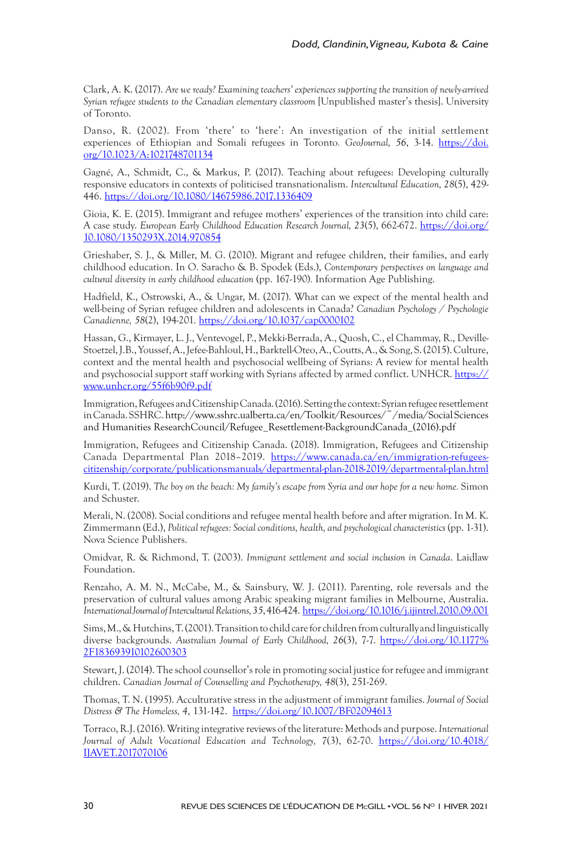Clark, A. K. (2017). *Are we ready? Examining teachers' experiences supporting the transition of newly-arrived Syrian refugee students to the Canadian elementary classroom* [Unpublished master's thesis]. University of Toronto.

Danso, R. (2002). From 'there' to 'here': An investigation of the initial settlement experiences of Ethiopian and Somali refugees in Toronto*. GeoJournal, 56*, 3-14. https://doi. org/10.1023/A:1021748701134

Gagné, A., Schmidt, C., & Markus, P. (2017). Teaching about refugees: Developing culturally responsive educators in contexts of politicised transnationalism. *Intercultural Education, 28*(5), 429- 446. https://doi.org/10.1080/14675986.2017.1336409

Gioia, K. E. (2015). Immigrant and refugee mothers' experiences of the transition into child care: A case study. *European Early Childhood Education Research Journal, 23*(5), 662-672. https://doi.org/ 10.1080/1350293X.2014.970854

Grieshaber, S. J., & Miller, M. G. (2010). Migrant and refugee children, their families, and early childhood education. In O. Saracho & B. Spodek (Eds.), *Contemporary perspectives on language and cultural diversity in early childhood education* (pp. 167-190)*.* Information Age Publishing.

Hadfield, K., Ostrowski, A., & Ungar, M. (2017). What can we expect of the mental health and well-being of Syrian refugee children and adolescents in Canada? *Canadian Psychology / Psychologie Canadienne, 58*(2), 194-201. https://doi.org/10.1037/cap0000102

Hassan, G., Kirmayer, L. J., Ventevogel, P., Mekki-Berrada, A., Quosh, C., el Chammay, R., Deville-Stoetzel, J.B., Youssef, A., Jefee-Bahloul, H., Barktell-Oteo, A., Coutts, A.,& Song, S. (2015). Culture, context and the mental health and psychosocial wellbeing of Syrians: A review for mental health and psychosocial support staff working with Syrians affected by armed conflict. UNHCR. https:// www.unhcr.org/55f6b90f9.pdf

Immigration, Refugees and Citizenship Canada. (2016). Setting the context: Syrian refugee resettlement in Canada. SSHRC. http://www.sshrc.ualberta.ca/en/Toolkit/Resources/~/media/Social Sciences and Humanities ResearchCouncil/Refugee\_Resettlement-BackgroundCanada\_(2016).pdf

Immigration, Refugees and Citizenship Canada. (2018). Immigration, Refugees and Citizenship Canada Departmental Plan 2018–2019. https://www.canada.ca/en/immigration-refugeescitizenship/corporate/publicationsmanuals/departmental-plan-2018-2019/departmental-plan.html

Kurdi, T. (2019). *The boy on the beach: My family's escape from Syria and our hope for a new home.* Simon and Schuster.

Merali, N. (2008). Social conditions and refugee mental health before and after migration. In M. K. Zimmermann (Ed.), *Political refugees: Social conditions, health, and psychological characteristics* (pp. 1-31). Nova Science Publishers.

Omidvar, R. & Richmond, T. (2003). *Immigrant settlement and social inclusion in Canada*. Laidlaw Foundation.

Renzaho, A. M. N., McCabe, M., & Sainsbury, W. J. (2011). Parenting, role reversals and the preservation of cultural values among Arabic speaking migrant families in Melbourne, Australia. *International Journal of Intercultural Relations, 35*, 416-424. https://doi.org/10.1016/j.ijintrel.2010.09.001

Sims, M.,& Hutchins, T. (2001). Transition to child care for children from culturally and linguistically diverse backgrounds. *Australian Journal of Early Childhood, 26*(3), 7-7. https://doi.org/10.1177% 2F183693910102600303

Stewart, J. (2014). The school counsellor's role in promoting social justice for refugee and immigrant children. *Canadian Journal of Counselling and Psychotherapy, 48*(3), 251-269.

Thomas, T. N. (1995). Acculturative stress in the adjustment of immigrant families. *Journal of Social Distress & The Homeless, 4*, 131-142. https://doi.org/10.1007/BF02094613

Torraco, R.J. (2016). Writing integrative reviews of the literature: Methods and purpose. *International Journal of Adult Vocational Education and Technology, 7*(3), 62-70. https://doi.org/10.4018/ IJAVET.2017070106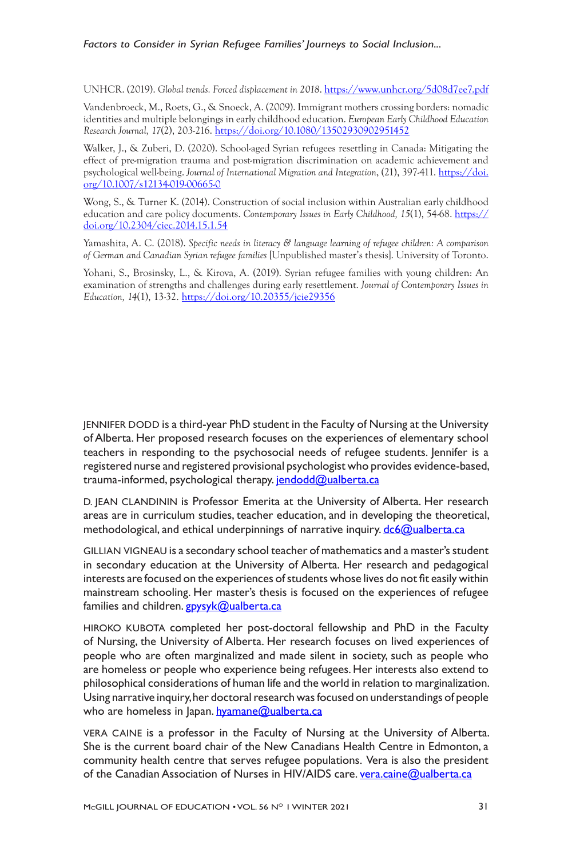UNHCR. (2019). *Global trends. Forced displacement in 2018*. https://www.unhcr.org/5d08d7ee7.pdf

Vandenbroeck, M., Roets, G., & Snoeck, A. (2009). Immigrant mothers crossing borders: nomadic identities and multiple belongings in early childhood education. *European Early Childhood Education Research Journal, 17*(2), 203-216. https://doi.org/10.1080/13502930902951452

Walker, J., & Zuberi, D. (2020). School-aged Syrian refugees resettling in Canada: Mitigating the effect of pre-migration trauma and post-migration discrimination on academic achievement and psychological well-being. *Journal of International Migration and Integration*, (21), 397-411. https://doi. org/10.1007/s12134-019-00665-0

Wong, S., & Turner K. (2014). Construction of social inclusion within Australian early childhood education and care policy documents. *Contemporary Issues in Early Childhood, 15*(1), 54-68. https:// doi.org/10.2304/ciec.2014.15.1.54

Yamashita, A. C. (2018). *Specific needs in literacy & language learning of refugee children: A comparison of German and Canadian Syrian refugee families* [Unpublished master's thesis]. University of Toronto.

Yohani, S., Brosinsky, L., & Kirova, A. (2019). Syrian refugee families with young children: An examination of strengths and challenges during early resettlement. *Journal of Contemporary Issues in Education, 14*(1), 13-32. https://doi.org/10.20355/jcie29356

JENNIFER DODD is a third-year PhD student in the Faculty of Nursing at the University of Alberta. Her proposed research focuses on the experiences of elementary school teachers in responding to the psychosocial needs of refugee students. Jennifer is a registered nurse and registered provisional psychologist who provides evidence-based, trauma-informed, psychological therapy. jendodd@ualberta.ca

D. JEAN CLANDININ is Professor Emerita at the University of Alberta. Her research areas are in curriculum studies, teacher education, and in developing the theoretical, methodological, and ethical underpinnings of narrative inquiry.  $d\epsilon_0$  alberta.ca

GILLIAN VIGNEAU is a secondary school teacher of mathematics and a master's student in secondary education at the University of Alberta. Her research and pedagogical interests are focused on the experiences of students whose lives do not fit easily within mainstream schooling. Her master's thesis is focused on the experiences of refugee families and children. gpysyk@ualberta.ca

HIROKO KUBOTA completed her post-doctoral fellowship and PhD in the Faculty of Nursing, the University of Alberta. Her research focuses on lived experiences of people who are often marginalized and made silent in society, such as people who are homeless or people who experience being refugees. Her interests also extend to philosophical considerations of human life and the world in relation to marginalization. Using narrative inquiry, her doctoral research was focused on understandings of people who are homeless in Japan. hyamane@ualberta.ca

VERA CAINE is a professor in the Faculty of Nursing at the University of Alberta. She is the current board chair of the New Canadians Health Centre in Edmonton, a community health centre that serves refugee populations. Vera is also the president of the Canadian Association of Nurses in HIV/AIDS care. vera.caine@ualberta.ca